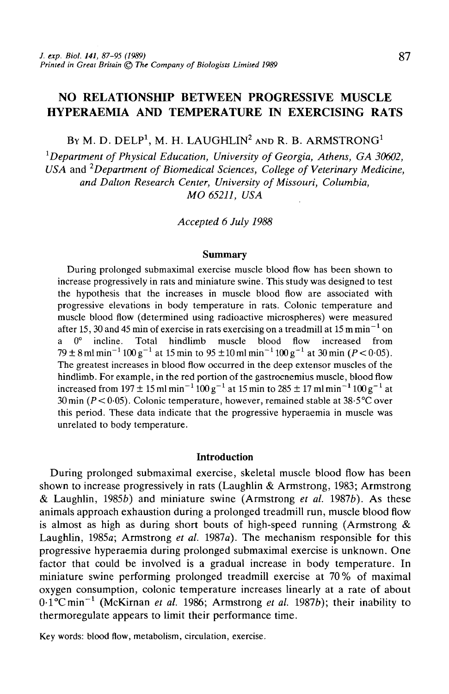# NO RELATIONSHIP BETWEEN PROGRESSIVE MUSCLE HYPERAEMIA AND TEMPERATURE IN EXERCISING RATS

By M. D. DELP $^1$ , M. H. LAUGHLIN $^2$  and R. B. ARMSTRONG $^1$ 

*1 Department of Physical Education, University of Georgia, Athens, GA 30602, USA* and *2Department of Biomedical Sciences, College of Veterinary Medicine, and Dalton Research Center, University of Missouri, Columbia, MO 65211, USA*

*Accepted 6 July 1988*

#### **Summary**

During prolonged submaximal exercise muscle blood flow has been shown to increase progressively in rats and miniature swine. This study was designed to test the hypothesis that the increases in muscle blood flow are associated with progressive elevations in body temperature in rats. Colonic temperature and muscle blood flow (determined using radioactive microspheres) were measured after 15, 30 and 45 min of exercise in rats exercising on a treadmill at 15 m min<sup>-1</sup> on  $0^{\circ}$  incline. Total hindlimb muscle blood flow increased from 79 ± 8 ml min<sup>-1</sup> 100 g<sup>-1</sup> at 15 min to 95 ± 10 ml min<sup>-1</sup> 100 g<sup>-1</sup> at 30 min (P < 0.05). The greatest increases in blood flow occurred in the deep extensor muscles of the hindlimb. For example, in the red portion of the gastrocnemius muscle, blood flow increased from 197  $\pm 15$  ml min<sup>-1</sup> 100 g<sup>-1</sup> at 15 min to 285  $\pm 17$  ml min<sup>-1</sup> 100 g<sup>-1</sup> at 30 min ( $P < 0.05$ ). Colonic temperature, however, remained stable at 38.5°C over this period. These data indicate that the progressive hyperaemia in muscle was unrelated to body temperature.

#### **Introduction**

During prolonged submaximal exercise, skeletal muscle blood flow has been shown to increase progressively in rats (Laughlin & Armstrong, 1983; Armstrong & Laughlin, 19856) and miniature swine (Armstrong *et al.* 19876). As these animals approach exhaustion during a prolonged treadmill run, muscle blood flow is almost as high as during short bouts of high-speed running (Armstrong  $\&$ Laughlin, 1985a; Armstrong *et al.* 1987a). The mechanism responsible for this progressive hyperaemia during prolonged submaximal exercise is unknown. One factor that could be involved is a gradual increase in body temperature. In miniature swine performing prolonged treadmill exercise at 70% of maximal oxygen consumption, colonic temperature increases linearly at a rate of about 0.1°Cmin<sup>-1</sup> (McKirnan *et al.* 1986; Armstrong *et al.* 1987b); their inability to thermoregulate appears to limit their performance time.

Key words: blood flow, metabolism, circulation, exercise.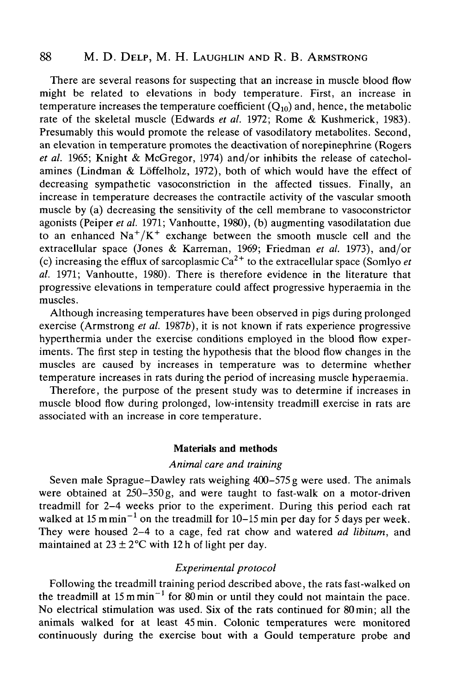## 88 M. D. Delp, M. H. Laughlin and R. B. Armstrong

There are several reasons for suspecting that an increase in muscle blood flow might be related to elevations in body temperature. First, an increase in temperature increases the temperature coefficient  $(O_{10})$  and, hence, the metabolic rate of the skeletal muscle (Edwards *et al.* 1972; Rome & Kushmerick, 1983). Presumably this would promote the release of vasodilatory metabolites. Second, an elevation in temperature promotes the deactivation of norepinephrine (Rogers *et al.* 1965; Knight & McGregor, 1974) and/or inhibits the release of catecholamines (Lindman & Loffelholz, 1972), both of which would have the effect of decreasing sympathetic vasoconstriction in the affected tissues. Finally, an increase in temperature decreases the contractile activity of the vascular smooth muscle by (a) decreasing the sensitivity of the cell membrane to vasoconstrictor agonists (Peiper *et al.* 1971; Vanhoutte, 1980), (b) augmenting vasodilatation due to an enhanced  $\text{Na}^+/ \text{K}^+$  exchange between the smooth muscle cell and the extracellular space (Jones & Karreman, 1969; Friedman *et al.* 1973), and/or (c) increasing the efflux of sarcoplasmic  $Ca^{2+}$  to the extracellular space (Somlyo *et al.* 1971; Vanhoutte, 1980). There is therefore evidence in the literature that progressive elevations in temperature could affect progressive hyperaemia in the muscles.

Although increasing temperatures have been observed in pigs during prolonged exercise (Armstrong *et al.* 19876), it is not known if rats experience progressive hyperthermia under the exercise conditions employed in the blood flow experiments. The first step in testing the hypothesis that the blood flow changes in the muscles are caused by increases in temperature was to determine whether temperature increases in rats during the period of increasing muscle hyperaemia.

Therefore, the purpose of the present study was to determine if increases in muscle blood flow during prolonged, low-intensity treadmill exercise in rats are associated with an increase in core temperature.

#### Materials and methods

## *Animal care and training*

Seven male Sprague-Dawley rats weighing 400-575g were used. The animals were obtained at 250–350 g, and were taught to fast-walk on a motor-driven treadmill for 2-4 weeks prior to the experiment. During this period each rat walked at 15 m min<sup>-1</sup> on the treadmill for 10-15 min per day for 5 days per week. They were housed 2-4 to a cage, fed rat chow and watered *ad libitum,* and maintained at  $23 \pm 2$ °C with 12 h of light per day.

### *Experimental protocol*

Following the treadmill training period described above, the rats fast-walked on the treadmill at 15 m min<sup>-1</sup> for 80 min or until they could not maintain the pace. No electrical stimulation was used. Six of the rats continued for 80 min; all the animals walked for at least 45 min. Colonic temperatures were monitored continuously during the exercise bout with a Gould temperature probe and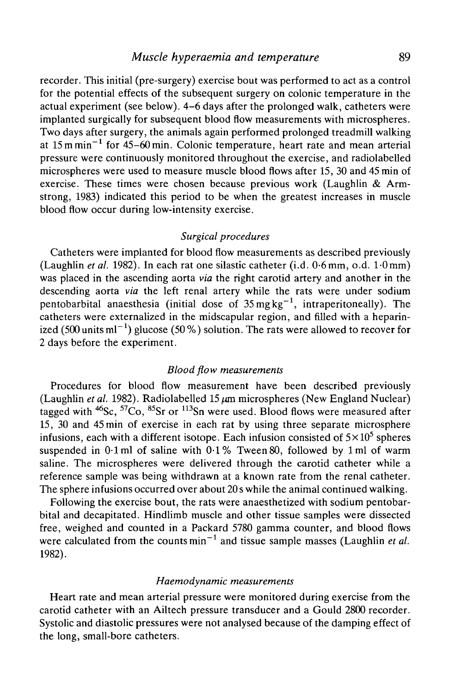recorder. This initial (pre-surgery) exercise bout was performed to act as a control for the potential effects of the subsequent surgery on colonic temperature in the actual experiment (see below). 4-6 days after the prolonged walk, catheters were implanted surgically for subsequent blood flow measurements with microspheres. Two days after surgery, the animals again performed prolonged treadmill walking at 15 m min<sup>-1</sup> for 45-60 min. Colonic temperature, heart rate and mean arterial pressure were continuously monitored throughout the exercise, and radiolabelled microspheres were used to measure muscle blood flows after 15, 30 and 45 min of exercise. These times were chosen because previous work (Laughlin & Armstrong, 1983) indicated this period to be when the greatest increases in muscle blood flow occur during low-intensity exercise.

#### *Surgical procedures*

Catheters were implanted for blood flow measurements as described previously (Laughlin *et al.* 1982). In each rat one silastic catheter (i.d. 0-6mm, o.d. 1-Omm) was placed in the ascending aorta *via* the right carotid artery and another in the descending aorta *via* the left renal artery while the rats were under sodium pentobarbital anaesthesia (initial dose of  $35 \text{ mg kg}^{-1}$ , intraperitoneally). The catheters were externalized in the midscapular region, and filled with a heparinized (500 units ml $^{-1}$ ) glucose (50 %) solution. The rats were allowed to recover for 2 days before the experiment.

#### *Blood flow measurements*

Procedures for blood flow measurement have been described previously (Laughlin *et al.* 1982). Radiolabelled 15  $\mu$ m microspheres (New England Nuclear) tagged with <sup>46</sup>Sc, <sup>57</sup>Co, <sup>85</sup>Sr or <sup>113</sup>Sn were used. Blood flows were measured after 15, 30 and 45 min of exercise in each rat by using three separate microsphere infusions, each with a different isotope. Each infusion consisted of  $5\times10^5$  spheres suspended in  $0.1$  ml of saline with  $0.1\%$  Tween 80, followed by 1 ml of warm saline. The microspheres were delivered through the carotid catheter while a reference sample was being withdrawn at a known rate from the renal catheter. The sphere infusions occurred over about 20 s while the animal continued walking.

Following the exercise bout, the rats were anaesthetized with sodium pentobarbital and decapitated. Hindlimb muscle and other tissue samples were dissected free, weighed and counted in a Packard 5780 gamma counter, and blood flows were calculated from the counts min<sup>-1</sup> and tissue sample masses (Laughlin *et al.* 1982).

#### *Haemodynamic measurements*

Heart rate and mean arterial pressure were monitored during exercise from the carotid catheter with an Ailtech pressure transducer and a Gould 2800 recorder. Systolic and diastolic pressures were not analysed because of the damping effect of the long, small-bore catheters.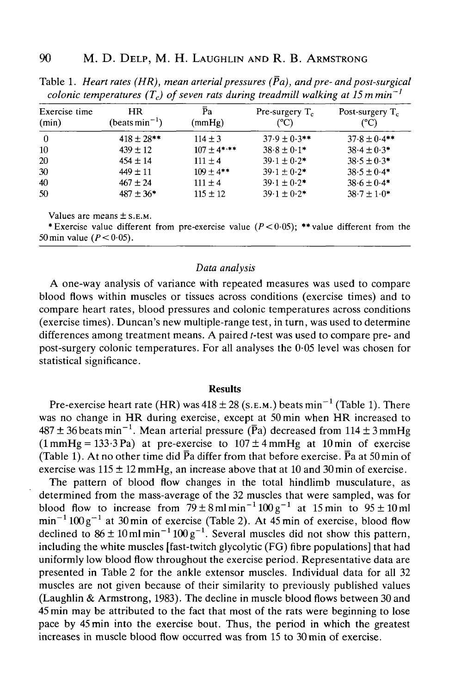|                        |                                         |               | . .                       | ີ                          |
|------------------------|-----------------------------------------|---------------|---------------------------|----------------------------|
| Exercise time<br>(min) | <b>HR</b><br>(beats min <sup>-1</sup> ) | Рa<br>(mmHg)  | Pre-surgery $T_c$<br>(°C) | Post-surgery $T_c$<br>(°C) |
| $\theta$               | $418 \pm 28$ **                         | $114 \pm 3$   | $37.9 \pm 0.3$ **         | $37.8 \pm 0.4$ **          |
| 10                     | $439 \pm 12$                            | $107 + 4$ *** | $38.8 \pm 0.1*$           | $38.4 \pm 0.3*$            |
| 20                     | $454 \pm 14$                            | $111 \pm 4$   | $39.1 \pm 0.2$ *          | $38.5 \pm 0.3*$            |
| 30                     | $449 \pm 11$                            | $109 + 4$ **  | $39.1 \pm 0.2$ *          | $38.5 \pm 0.4*$            |
| 40                     | $467 \pm 24$                            | $111 \pm 4$   | $39.1 \pm 0.2$ *          | $38.6 \pm 0.4*$            |
| 50                     | $487 \pm 36*$                           | $115 \pm 12$  | $39.1 \pm 0.2*$           | $38.7 \pm 1.0*$            |

Table 1. Heart rates (HR), mean arterial pressures ( $\bar{P}a$ ), and pre- and post-surgical *colonic temperatures (T<sub>c</sub>) of seven rats during treadmill walking at 15 mmin*<sup> $-1$ </sup>

Values are means  $\pm$  S.E.M.

\* Exercise value different from pre-exercise value ( $P < 0.05$ ); \*\* value different from the 50 min value *(P<* 0-05).

#### *Data analysis*

A one-way analysis of variance with repeated measures was used to compare blood flows within muscles or tissues across conditions (exercise times) and to compare heart rates, blood pressures and colonic temperatures across conditions (exercise times). Duncan's new multiple-range test, in turn, was used to determine differences among treatment means. A paired *t*-test was used to compare pre- and post-surgery colonic temperatures. For all analyses the 0-05 level was chosen for statistical significance.

#### **Results**

Pre-exercise heart rate (HR) was 418  $\pm$  28 (s.e.m.) beats min<sup>-1</sup> (Table 1). There was no change in HR during exercise, except at 50 min when HR increased to  $487 \pm 36$  beats min<sup>-1</sup>. Mean arterial pressure (Pa) decreased from  $114 \pm 3$  mmHg  $(1 mmHg = 133.3 Pa)$  at pre-exercise to  $107 \pm 4 mmHg$  at 10 min of exercise (Table 1). At no other time did  $\bar{P}a$  differ from that before exercise.  $\bar{P}a$  at 50 min of exercise was  $115 \pm 12$  mmHg, an increase above that at 10 and 30 min of exercise.

The pattern of blood flow changes in the total hindlimb musculature, as determined from the mass-average of the 32 muscles that were sampled, was for blood flow to increase from  $79 \pm 8 \,\text{ml} \,\text{min}^{-1} 100 \,\text{g}^{-1}$  at 15 min to  $95 \pm 10 \,\text{ml}$  $\text{min}^{-1} 100 \text{ g}^{-1}$  at 30 min of exercise (Table 2). At 45 min of exercise, blood flow declined to  $86 \pm 10$  ml min<sup>-1</sup>  $100 g^{-1}$ . Several muscles did not show this pattern, including the white muscles [fast-twitch glycolytic (FG) fibre populations] that had uniformly low blood flow throughout the exercise period. Representative data are presented in Table 2 for the ankle extensor muscles. Individual data for all 32 muscles are not given because of their similarity to previously published values (Laughlin & Armstrong, 1983). The decline in muscle blood flows between 30 and 45 min may be attributed to the fact that most of the rats were beginning to lose pace by 45 min into the exercise bout. Thus, the period in which the greatest increases in muscle blood flow occurred was from 15 to 30 min of exercise.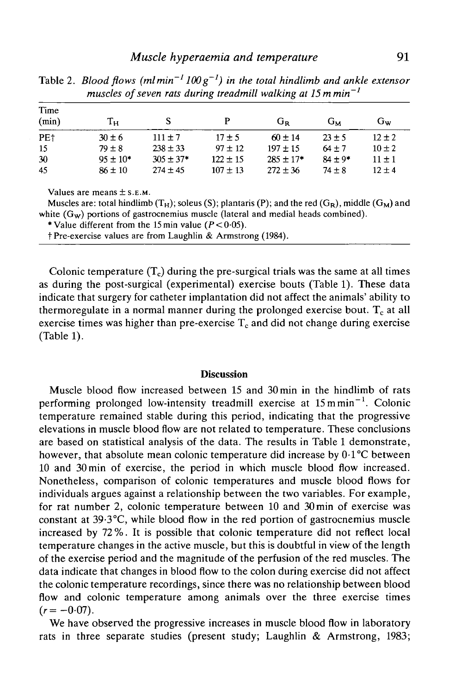### *Muscle hyperaemia and temperature* 91

| Time<br>(min)   | $\rm T_H$     | S              | P            | $G_R$          | Gм          | Gw         |
|-----------------|---------------|----------------|--------------|----------------|-------------|------------|
| PE <sub>†</sub> | $30 \pm 6$    | $111 \pm 7$    | $17 + 5$     | $60 \pm 14$    | $23 + 5$    | $12 \pm 2$ |
| 15              | $79 \pm 8$    | $238 \pm 33$   | $97 \pm 12$  | $197 \pm 15$   | $64 \pm 7$  | $10 \pm 2$ |
| 30              | $95 \pm 10^*$ | $305 \pm 37$ * | $122 \pm 15$ | $285 \pm 17$ * | $84 \pm 9*$ | $11 \pm 1$ |
| 45              | $86 \pm 10$   | $274 \pm 45$   | $107 \pm 13$ | $272 \pm 36$   | $74 + 8$    | $12 + 4$   |

Table 2. *Blood flows (mlmin~<sup>J</sup> 100g~<sup>J</sup> ) in the total hindlimb and ankle extensor muscles of seven rats during treadmill walking at 15 mmin-l*

Values are means  $\pm$  S.E.M.

Muscles are: total hindlimb  $(T_H)$ ; soleus (S); plantaris (P); and the red  $(G_R)$ , middle  $(G_M)$  and white  $(G_w)$  portions of gastrocnemius muscle (lateral and medial heads combined).

\* Value different from the 15 min value ( $P < 0.05$ ).

t Pre-exercise values are from Laughlin & Armstrong (1984).

Colonic temperature  $(T_c)$  during the pre-surgical trials was the same at all times as during the post-surgical (experimental) exercise bouts (Table 1). These data indicate that surgery for catheter implantation did not affect the animals' ability to thermoregulate in a normal manner during the prolonged exercise bout.  $T_c$  at all exercise times was higher than pre-exercise  $T_c$  and did not change during exercise (Table 1).

### **Discussion**

Muscle blood flow increased between 15 and 30 min in the hindlimb of rats performing prolonged low-intensity treadmill exercise at 15 mmin<sup>-1</sup>. Colonic temperature remained stable during this period, indicating that the progressive elevations in muscle blood flow are not related to temperature. These conclusions are based on statistical analysis of the data. The results in Table 1 demonstrate, however, that absolute mean colonic temperature did increase by  $0.1^{\circ}$ C between 10 and 30min of exercise, the period in which muscle blood flow increased. Nonetheless, comparison of colonic temperatures and muscle blood flows for individuals argues against a relationship between the two variables. For example, for rat number 2, colonic temperature between 10 and 30 min of exercise was constant at 39-3°C, while blood flow in the red portion of gastrocnemius muscle increased by 72%. It is possible that colonic temperature did not reflect local temperature changes in the active muscle, but this is doubtful in view of the length of the exercise period and the magnitude of the perfusion of the red muscles. The data indicate that changes in blood flow to the colon during exercise did not affect the colonic temperature recordings, since there was no relationship between blood flow and colonic temperature among animals over the three exercise times  $(r=-0.07)$ .

We have observed the progressive increases in muscle blood flow in laboratory rats in three separate studies (present study; Laughlin & Armstrong, 1983;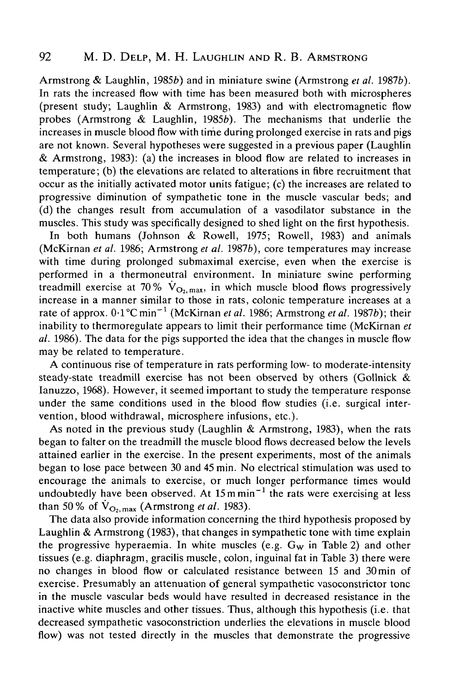## 92 M. D. Delp, M. H. Laughlin and R. B. Armstrong

Armstrong & Laughlin, 19856) and in miniature swine (Armstrong *et al.* 19876). In rats the increased flow with time has been measured both with microspheres (present study; Laughlin & Armstrong, 1983) and with electromagnetic flow probes (Armstrong  $\&$  Laughlin, 1985b). The mechanisms that underlie the increases in muscle blood flow with time during prolonged exercise in rats and pigs are not known. Several hypotheses were suggested in a previous paper (Laughlin & Armstrong, 1983): (a) the increases in blood flow are related to increases in temperature; (b) the elevations are related to alterations in fibre recruitment that occur as the initially activated motor units fatigue; (c) the increases are related to progressive diminution of sympathetic tone in the muscle vascular beds; and (d) the changes result from accumulation of a vasodilator substance in the muscles. This study was specifically designed to shed light on the first hypothesis.

In both humans (Johnson & Rowell, 1975; Rowell, 1983) and animals (McKirnan *et al.* 1986; Armstrong *et al.* 19876), core temperatures may increase with time during prolonged submaximal exercise, even when the exercise is performed in a thermoneutral environment. In miniature swine performing treadmill exercise at 70%  $\dot{V}_{\text{O}_2,\text{max}}$ , in which muscle blood flows progressively increase in a manner similar to those in rats, colonic temperature increases at a rate of approx. 0·1°C min<sup>-1</sup> (McKirnan *et al.* 1986; Armstrong *et al.* 1987b); their inability to thermoregulate appears to limit their performance time (McKirnan *et al.* 1986). The data for the pigs supported the idea that the changes in muscle flow may be related to temperature.

A continuous rise of temperature in rats performing low- to moderate-intensity steady-state treadmill exercise has not been observed by others (Gollnick & Ianuzzo, 1968). However, it seemed important to study the temperature response under the same conditions used in the blood flow studies (i.e. surgical intervention, blood withdrawal, microsphere infusions, etc.).

As noted in the previous study (Laughlin *&* Armstrong, 1983), when the rats began to falter on the treadmill the muscle blood flows decreased below the levels attained earlier in the exercise. In the present experiments, most of the animals began to lose pace between 30 and 45 min. No electrical stimulation was used to encourage the animals to exercise, or much longer performance times would undoubtedly have been observed. At  $15 \text{ m min}^{-1}$  the rats were exercising at less than 50% of  $\dot{V}_{\text{O}_2,\text{max}}$  (Armstrong *et al.* 1983).

The data also provide information concerning the third hypothesis proposed by Laughlin & Armstrong (1983), that changes in sympathetic tone with time explain the progressive hyperaemia. In white muscles (e.g.  $G_w$  in Table 2) and other tissues (e.g. diaphragm, gracilis muscle, colon, inguinal fat in Table 3) there were no changes in blood flow or calculated resistance between 15 and 30 min of exercise. Presumably an attenuation of general sympathetic vasoconstrictor tone in the muscle vascular beds would have resulted in decreased resistance in the inactive white muscles and other tissues. Thus, although this hypothesis (i.e. that decreased sympathetic vasoconstriction underlies the elevations in muscle blood flow) was not tested directly in the muscles that demonstrate the progressive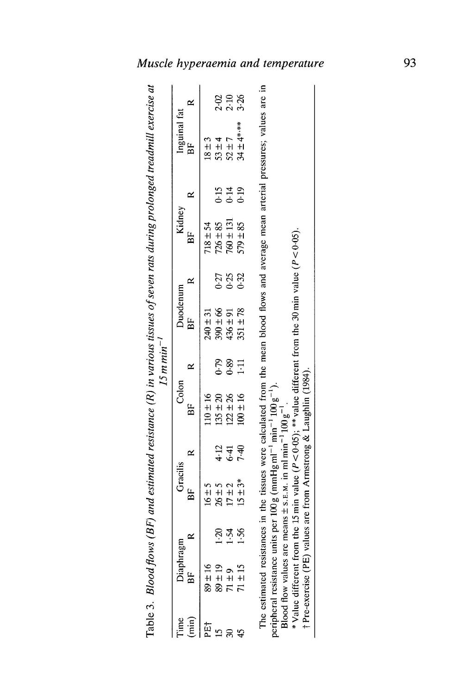| 1                                                                                                                                            | l                                                                                                     |                  | t      |
|----------------------------------------------------------------------------------------------------------------------------------------------|-------------------------------------------------------------------------------------------------------|------------------|--------|
| ļ<br>$\ddot{\phantom{0}}$<br>i<br>Samuan<br>ł<br>$\overline{\phantom{a}}$<br>ś<br>Ĺ<br>$\mathbf{I}$<br>l<br>ľ<br>$\mathbf c$<br>$\mathbf{r}$ | $\ddot{\phantom{0}}$<br>،<br>ا<br>i<br>.<br>.<br>.<br>:<br>;<br>;<br><br>;<br>;<br>١<br>$\frac{1}{2}$ | ١<br>ļ<br>Í<br>l | I<br>ı |

| cle hyperaemia and tempera |                  |                |               |                              |                                           |              |  |                                                                                                                                       |                                                                                      |                                                                               |
|----------------------------|------------------|----------------|---------------|------------------------------|-------------------------------------------|--------------|--|---------------------------------------------------------------------------------------------------------------------------------------|--------------------------------------------------------------------------------------|-------------------------------------------------------------------------------|
|                            |                  | ≃              |               |                              | 2.98<br>2.98                              |              |  |                                                                                                                                       |                                                                                      |                                                                               |
| $15$ m min <sup>-1</sup>   | Inguinal far     | ВF             | $18 \pm 3$    | $53 \pm 4$                   | $52 \pm 7$                                | 34 土 4*,**   |  |                                                                                                                                       |                                                                                      |                                                                               |
|                            |                  | ≃              |               |                              | 15<br>15<br>0.19<br>0.19                  |              |  | The estimated resistances in the tissues were calculated from the mean blood flows and average mean arterial pressures; values are in |                                                                                      |                                                                               |
|                            | Kidney           | BF             |               | $718 \pm 54$<br>$726 \pm 85$ | $760 \pm 131$                             | $579 \pm 85$ |  |                                                                                                                                       |                                                                                      |                                                                               |
|                            |                  | $\approx$      |               |                              | 538<br>0.32<br>0.92                       |              |  |                                                                                                                                       |                                                                                      |                                                                               |
|                            | Duodenum         | B <sub>F</sub> | $240 \pm 31$  | $390 \pm 66$                 | $436 \pm 91$                              | $351 \pm 78$ |  |                                                                                                                                       |                                                                                      |                                                                               |
|                            |                  | ≃              |               |                              | $0.39$<br>$1.11$                          |              |  |                                                                                                                                       |                                                                                      |                                                                               |
|                            | Colon            | ΒF             | $110 \pm 16$  | $135 \pm 20$<br>$122 \pm 26$ |                                           | $100 \pm 16$ |  | $(mmHg\,ml^{-1}\,min^{-1}100\,g^{-1}).$                                                                                               |                                                                                      | value ( $P < 0.05$ ); **value different from the 30 min value ( $P < 0.05$ ). |
|                            |                  | ≃              |               |                              | 4 <del>1</del><br>4 <del>1</del> 원<br>7 원 |              |  |                                                                                                                                       |                                                                                      |                                                                               |
|                            | Gracilis         |                | $\frac{5}{1}$ | ي<br>H<br>26                 | $+$                                       | $±3*$        |  |                                                                                                                                       |                                                                                      |                                                                               |
|                            | <b>Diaphragm</b> |                |               | <u>୍ର</u>                    | $-54$                                     | 1.56         |  |                                                                                                                                       |                                                                                      |                                                                               |
|                            |                  | BF             | $89 \pm 16$   | $89 \pm 19$                  | $71 \pm 9$                                | $71 \pm 15$  |  | peripheral resistance units per 100 g                                                                                                 | Blood flow values are means $\pm$ s.E.M. in ml min <sup>-1</sup> 100 g <sup>-1</sup> | * Value different from the 15 min                                             |
|                            |                  | $(\min)$       | PË            |                              | इ                                         |              |  |                                                                                                                                       |                                                                                      |                                                                               |

-1 Prc-cxcrcisc (PE) valucs are from Armstrong & Laughlin (1984). **g** Value different from the 15 min value ( $P < 0.05$ ); \*\*value different from the 30 min value ( $P < 0.05$ ).

† Pre-exercise (PE) values are from Armstrong & Laughlin (1984).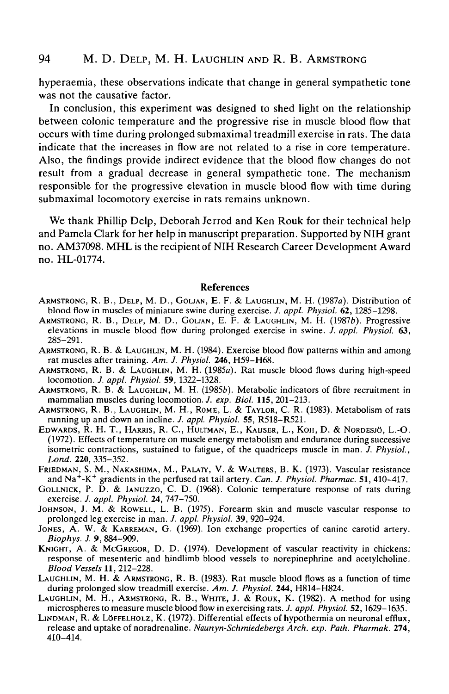hyperaemia, these observations indicate that change in general sympathetic tone was not the causative factor.

In conclusion, this experiment was designed to shed light on the relationship between colonic temperature and the progressive rise in muscle blood flow that occurs with time during prolonged submaximal treadmill exercise in rats. The data indicate that the increases in flow are not related to a rise in core temperature. Also, the findings provide indirect evidence that the blood flow changes do not result from a gradual decrease in general sympathetic tone. The mechanism responsible for the progressive elevation in muscle blood flow with time during submaximal locomotory exercise in rats remains unknown.

We thank Phillip Delp, Deborah Jerrod and Ken Rouk for their technical help and Pamela Clark for her help in manuscript preparation. Supported by NIH grant no. AM37098. MHL is the recipient of NIH Research Career Development Award no. HL-01774.

#### **References**

- ARMSTRONG, R. B., DELP, M. D., GOLJAN, E. F. & LAUGHLIN, M. H. (1987a). Distribution of blood flow in muscles of miniature swine during exercise. J. appl. Physiol. 62, 1285–1298.
- ARMSTRONG, R. B., DELP, M. D., GOLJAN, E. F. & LAUGHLIN, M. H. (1987b). Progressive elevations in muscle blood flow during prolonged exercise in swine. *J. appl. Physiol.* 63, 285-291.<br>ARMSTRONG, R. B. & LAUGHLIN, M. H. (1984). Exercise blood flow patterns within and among rat muscles after training. Am.
- 
- ARMSTRONG, R. B. & LAUGHLIN, M. H. (1985a). Rat muscle blood flows during high-speed locomotion. *J. appl. Physiol.* 59, 1322-1328.
- ARMSTRONG, R. B. & LAUGHLIN, M. H. (1985*b*). Metabolic indicators of fibre recruitment in mammalian muscles during locomotion. *J. exp. Biol.* 115, 201–213.
- ARMSTRONG, R. B., LAUGHLIN, M. H., ROME, L. & TAYLOR, C. R. (1983). Metabolism of rats running up and down an incline. *J. appl. Physiol.* **55,** R518-R521.
- EDWARDS, R. H. T., HARRIS, R. C, HULTMAN, E., KAUSER, L., KOH, D. & NORDESJO, L.-O. (1972). Effects of temperature on muscle energy metabolism and endurance during successive isometric contractions, sustained to fatigue, of the quadriceps muscle in man. *J. Physiol.,*
- FRIEDMAN, S. M., NAKASHIMA, M., PALATY, V. & WALTERS, B. K. (1973). Vascular resistance and  $\text{Na}^{\text{+}}\text{-K}^{\text{+}}$
- GOLLNICK, P. D. & IANUZZO, C. D. (1968). Colonic temperature response of rats during exercise. *J. appl. Physiol.* 24, 747–750.
- Johnson, J. M. & Rowell, L. B. (1975). Forearm skin and muscle vascular response to prolonged leg exercise in man. *J. appl. Physiol.* **39**, 920–924.
- JONES, A. W. & KARREMAN, G. (1969). Ion exchange properties of canine carotid artery.<br>*Biophys. J.* 9, 884-909.
- **KNIGHT, A. & MCGREGOR, D. D. (1974). Development of vascular reactivity in chickens:** response of mesenteric and hindlimb blood vessels to norepinephrine and acetylcholine.
- *Blood Vessels* 11, 212-228.<br>LAUGHLIN, M. H. & ARMSTRONG, R. B. (1983). Rat muscle blood flows as a function of time<br>during prolonged slow treadmill exercise. Am. J. Physiol. 244, H814-H824.
- LAUGHLIN, M. H., ARMSTRONG, R. B., WHITE, J. & ROUK, K. (1982). A method for using
- microspheres to measure muscle blood flow in exercising rats. J. appl. Physiol. 52, 1629–1635.<br>LINDMAN, R. & LÖFFELHOLZ, K. (1972). Differential effects of hypothermia on neuronal efflux,<br>release and uptake of noradrenalin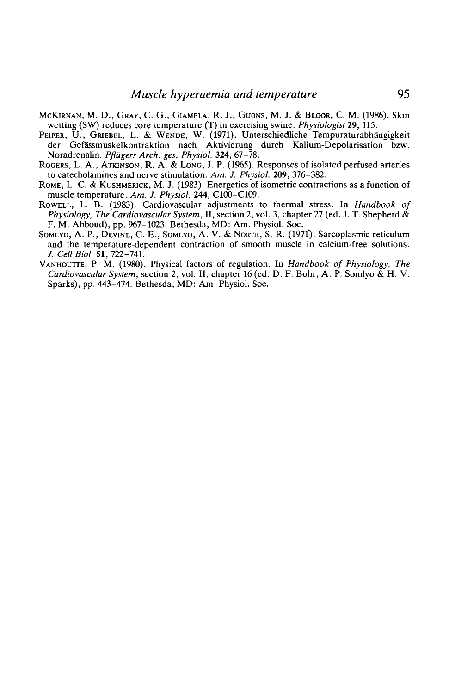- McKIRNAN, M. D., GRAY, C. G., GIAMELA, R. J., GUONS, M. J. & BLOOR, C. M. (1986). Skin wetting (SW) reduces core temperature (T) in exercising swine. *Physiologist* 29, 115.
- PEIPER, U., GRIEBEL, L. & WENDE, W. (1971). Unterschiedliche Tempuraturabhängigkeit der Gefässmuskelkontraktion nach Aktivierung durch Kalium-Depolarisation bzw.<br>Noradrenalin *Pflügers Arch ges. Physiol.* 324, 67–78.
- Rogers, L. A., ATKINSON, R. A. & LONG, J. P. (1965). Responses of isolated perfused arteries to catecholamines and nerve stimulation. Am. J. Physiol. 209, 376–382.
- ROME, L. C. & KUSHMERICK, M. J. (1983). Energetics of isometric contractions as a function of muscle temperature. *Am. J. Physiol.* **244,** C100-C109. ROWELL, L. B. (1983). Cardiovascular adjustments to thermal stress. In *Handbook of*
- *Physiology, The Cardiovascular System,* II, section 2, vol. 3, chapter 27 (ed. J. T. Shepherd & F. M. Abboud), pp. 967-1023. Bethesda, MD: Am. Physiol. Soc. SOMLYO, A. P., DEVINE, C. E., SOMLYO, A. V. & NORTH, S. R. (1971). Sarcoplasmic reticulum
- and the temperature-dependent contraction of smooth muscle in calcium-free solutions. /. *Cell Biol. 51,722-741.*
- VANHOUTTE, P. M. (1980). Physical factors of regulation. In *Handbook of Physiology, The Cardiovascular System,* section 2, vol. II, chapter 16 (ed. D. F. Bohr, A. P. Somlyo & H. V. Sparks), pp. 443-474. Bethesda, MD: Am. Physiol. Soc.